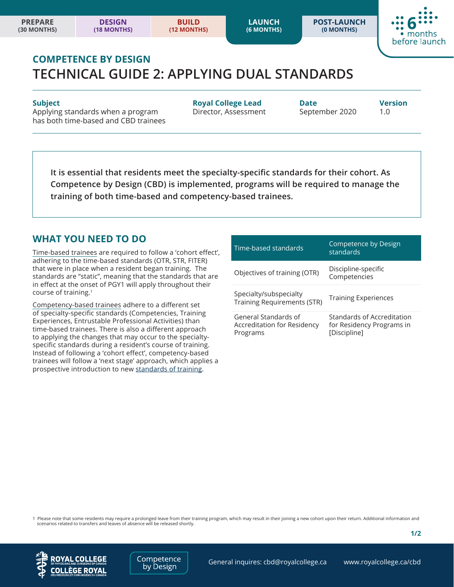**POST-LAUNCH (0 MONTHS)**



# **COMPETENCE BY DESIGN TECHNICAL GUIDE 2: APPLYING DUAL STANDARDS**

Applying standards when a program **Director, Assessment** September 2020 1.0 has both time-based and CBD trainees

**Subject Royal College Lead Date Version**

**It is essential that residents meet the specialty-specific standards for their cohort. As Competence by Design (CBD) is implemented, programs will be required to manage the training of both time-based and competency-based trainees.** 

#### **WHAT YOU NEED TO DO**

Time-based trainees are required to follow a 'cohort effect', adhering to the time-based standards (OTR, STR, FITER) that were in place when a resident began training. The standards are "static", meaning that the standards that are in effect at the onset of PGY1 will apply throughout their course of training.<sup>1</sup>

Competency-based trainees adhere to a different set of specialty-specific standards (Competencies, Training Experiences, Entrustable Professional Activities) than time-based trainees. There is also a different approach to applying the changes that may occur to the specialtyspecific standards during a resident's course of training. Instead of following a 'cohort effect', competency-based trainees will follow a 'next stage' approach, which applies a prospective introduction to new [standards of training](www.royalcollege.ca/rcsite/documents/cbd/cbd-policy-versioning-e.pdf).

| Time-based standards                                            | Competence by Design<br>standards                                       |
|-----------------------------------------------------------------|-------------------------------------------------------------------------|
| Objectives of training (OTR)                                    | Discipline-specific<br>Competencies                                     |
| Specialty/subspecialty<br><b>Training Requirements (STR)</b>    | <b>Training Experiences</b>                                             |
| General Standards of<br>Accreditation for Residency<br>Programs | Standards of Accreditation<br>for Residency Programs in<br>[Discipline] |

1 Please note that some residents may require a prolonged leave from their training program, which may result in their joining a new cohort upon their return. Additional information and scenarios related to transfers and leaves of absence will be released shortly.



Competence by Design

**1/2**